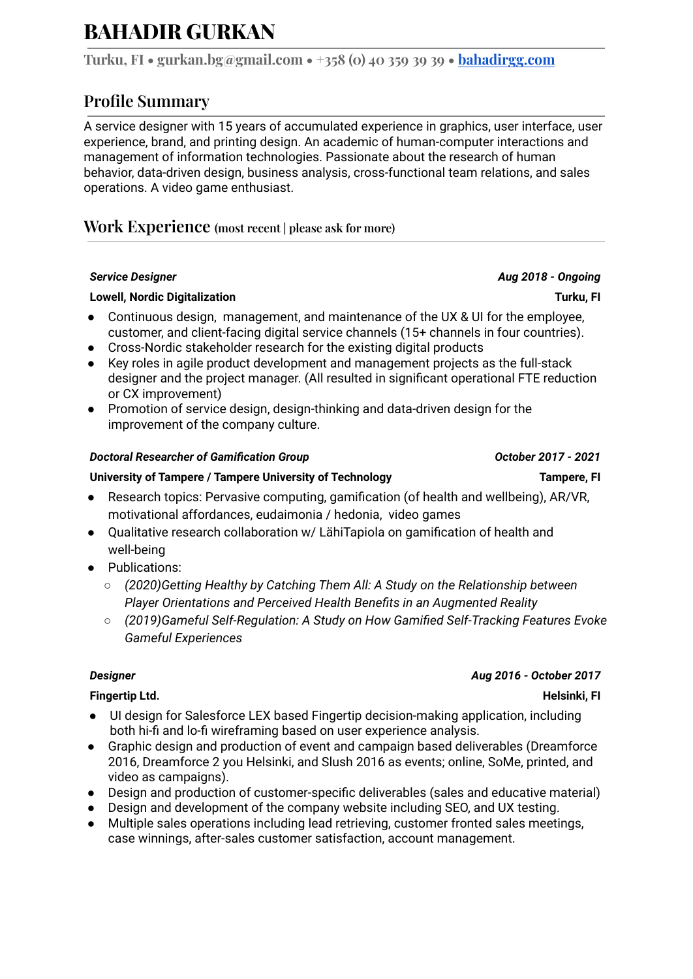# **BAHADIR GURKAN**

**Turku, FI • gurkan.bg@gmail.com • +358 (0) 40 359 39 39 • [bahadirgg.com](http://bahadirgg.com)**

## **Profile Summary**

A service designer with 15 years of accumulated experience in graphics, user interface, user experience, brand, and printing design. An academic of human-computer interactions and management of information technologies. Passionate about the research of human behavior, data-driven design, business analysis, cross-functional team relations, and sales operations. A video game enthusiast.

## **Work Experience (most recent | please ask for more)**

### **Lowell, Nordic Digitalization Turku, FI**

- Continuous design, management, and maintenance of the UX & UI for the employee, customer, and client-facing digital service channels (15+ channels in four countries).
- Cross-Nordic stakeholder research for the existing digital products
- Key roles in agile product development and management projects as the full-stack designer and the project manager. (All resulted in significant operational FTE reduction or CX improvement)
- Promotion of service design, design-thinking and data-driven design for the improvement of the company culture.

### *Doctoral Researcher of Gamification Group October 2017 - 2021*

### **University of Tampere / Tampere University of Technology Tampere, FI**

- Research topics: Pervasive computing, gamification (of health and wellbeing), AR/VR, motivational affordances, eudaimonia / hedonia, video games
- Qualitative research collaboration w/ LähiTapiola on gamification of health and well-being
- Publications:
	- *○ (2020)Getting Healthy by Catching Them All: A Study on the Relationship between Player Orientations and Perceived Health Benefits in an Augmented Reality*
	- *○ (2019)Gameful Self-Regulation: A Study on How Gamified Self-Tracking Features Evoke Gameful Experiences*

### **Fingertip Ltd. Helsinki, FI**

- UI design for Salesforce LEX based Fingertip decision-making application, including both hi-fi and lo-fi wireframing based on user experience analysis.
- Graphic design and production of event and campaign based deliverables (Dreamforce 2016, Dreamforce 2 you Helsinki, and Slush 2016 as events; online, SoMe, printed, and video as campaigns).
- Design and production of customer-specific deliverables (sales and educative material)
- Design and development of the company website including SEO, and UX testing.
- Multiple sales operations including lead retrieving, customer fronted sales meetings, case winnings, after-sales customer satisfaction, account management.

### *Designer Aug 2016 - October 2017*

*Service Designer Aug 2018 - Ongoing*